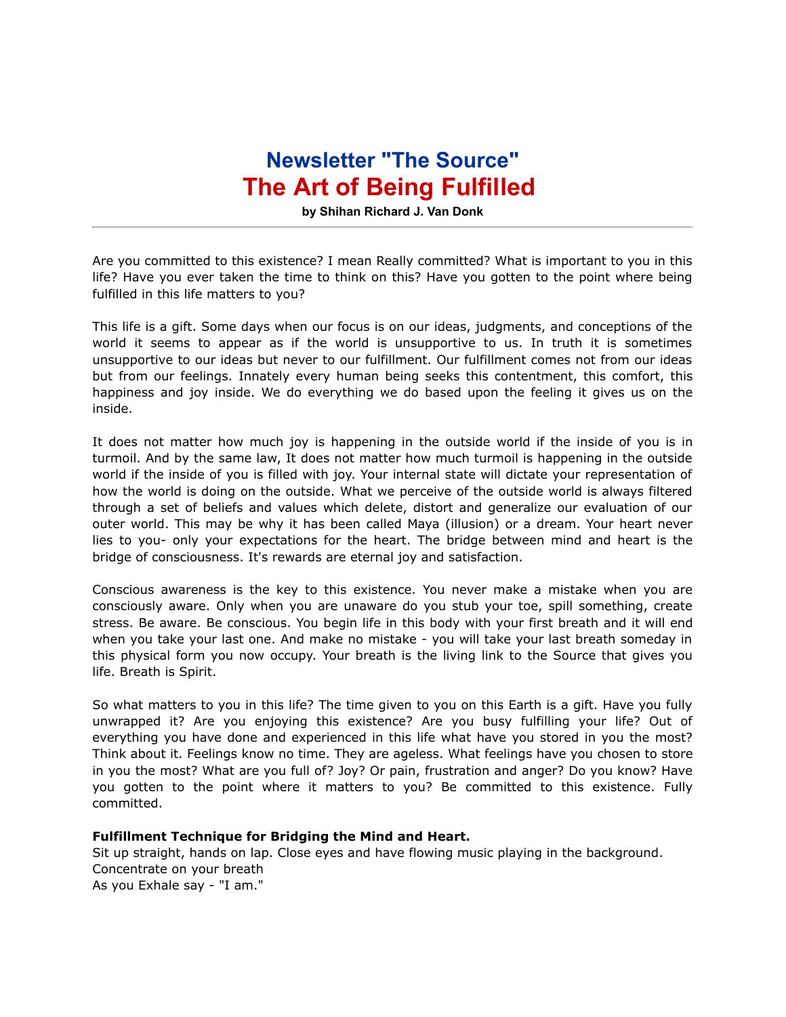## **Newsletter "The Source" The Art of Being Fulfilled**

**by Shihan Richard J. Van Donk**

Are you committed to this existence? I mean Really committed? What is important to you in this life? Have you ever taken the time to think on this? Have you gotten to the point where being fulfilled in this life matters to you?

This life is a gift. Some days when our focus is on our ideas, judgments, and conceptions of the world it seems to appear as if the world is unsupportive to us. In truth it is sometimes unsupportive to our ideas but never to our fulfillment. Our fulfillment comes not from our ideas but from our feelings. Innately every human being seeks this contentment, this comfort, this happiness and joy inside. We do everything we do based upon the feeling it gives us on the inside.

It does not matter how much joy is happening in the outside world if the inside of you is in turmoil. And by the same law, It does not matter how much turmoil is happening in the outside world if the inside of you is filled with joy. Your internal state will dictate your representation of how the world is doing on the outside. What we perceive of the outside world is always filtered through a set of beliefs and values which delete, distort and generalize our evaluation of our outer world. This may be why it has been called Maya (illusion) or a dream. Your heart never lies to you- only your expectations for the heart. The bridge between mind and heart is the bridge of consciousness. It's rewards are eternal joy and satisfaction.

Conscious awareness is the key to this existence. You never make a mistake when you are consciously aware. Only when you are unaware do you stub your toe, spill something, create stress. Be aware. Be conscious. You begin life in this body with your first breath and it will end when you take your last one. And make no mistake - you will take your last breath someday in this physical form you now occupy. Your breath is the living link to the Source that gives you life. Breath is Spirit.

So what matters to you in this life? The time given to you on this Earth is a gift. Have you fully unwrapped it? Are you enjoying this existence? Are you busy fulfilling your life? Out of everything you have done and experienced in this life what have you stored in you the most? Think about it. Feelings know no time. They are ageless. What feelings have you chosen to store in you the most? What are you full of? Joy? Or pain, frustration and anger? Do you know? Have you gotten to the point where it matters to you? Be committed to this existence. Fully committed.

## **Fulfillment Technique for Bridging the Mind and Heart.**

Sit up straight, hands on lap. Close eyes and have flowing music playing in the background. Concentrate on your breath As you Exhale say - "I am."